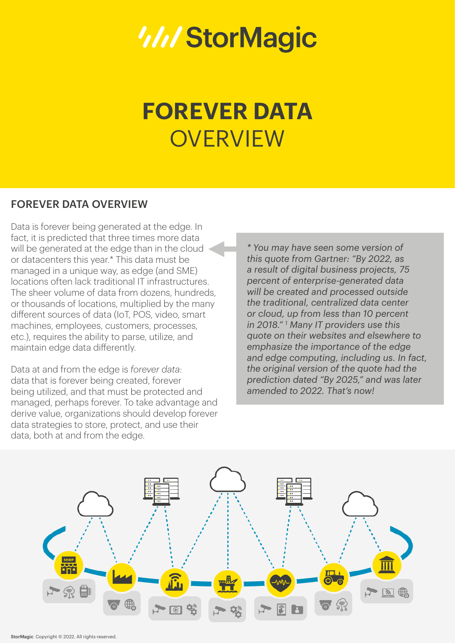# *III/StorMagic*

# **FOREVER DATA OVERVIEW**

# FOREVER DATA OVERVIEW

Data is forever being generated at the edge. In fact, it is predicted that three times more data will be generated at the edge than in the cloud or datacenters this year.\* This data must be managed in a unique way, as edge (and SME) locations often lack traditional IT infrastructures. The sheer volume of data from dozens, hundreds, or thousands of locations, multiplied by the many different sources of data (IoT, POS, video, smart machines, employees, customers, processes, etc.), requires the ability to parse, utilize, and maintain edge data differently.

Data at and from the edge is *forever data*: data that is forever being created, forever being utilized, and that must be protected and managed, perhaps forever. To take advantage and derive value, organizations should develop forever data strategies to store, protect, and use their data, both at and from the edge.

*\* You may have seen some version of this quote from Gartner: "By 2022, as a result of digital business projects, 75 percent of enterprise-generated data will be created and processed outside the traditional, centralized data center or cloud, up from less than 10 percent in 2018." 1 Many IT providers use this quote on their websites and elsewhere to emphasize the importance of the edge and edge computing, including us. In fact, the original version of the quote had the prediction dated "By 2025," and was later amended to 2022. That's now!*

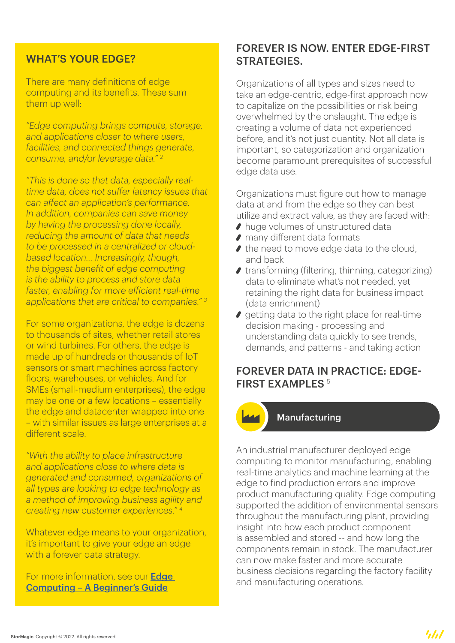### WHAT'S YOUR EDGE?

There are many definitions of edge computing and its benefits. These sum them up well:

*"Edge computing brings compute, storage, and applications closer to where users, facilities, and connected things generate, consume, and/or leverage data." 2*

*"This is done so that data, especially realtime data, does not suffer latency issues that can affect an application's performance. In addition, companies can save money by having the processing done locally, reducing the amount of data that needs to be processed in a centralized or cloudbased location… Increasingly, though, the biggest benefit of edge computing is the ability to process and store data faster, enabling for more efficient real-time applications that are critical to companies." 3*

For some organizations, the edge is dozens to thousands of sites, whether retail stores or wind turbines. For others, the edge is made up of hundreds or thousands of IoT sensors or smart machines across factory floors, warehouses, or vehicles. And for SMEs (small-medium enterprises), the edge may be one or a few locations – essentially the edge and datacenter wrapped into one – with similar issues as large enterprises at a different scale.

*"With the ability to place infrastructure and applications close to where data is generated and consumed, organizations of all types are looking to edge technology as a method of improving business agility and creating new customer experiences." 4*

Whatever edge means to your organization, it's important to give your edge an edge with a forever data strategy.

For more information, see our **Edge** [Computing – A Beginner's Guide](https://stormagic.com/resources/beginners-guides/edge-computing-beginners-guide/?utm_source=pdf&utm_medium=overview&utm_campaign=Forever+Data+Overview&utm_content=Edge+Computing+-+A+Beginner%E2%80%99s+Guide)

# FOREVER IS NOW. ENTER EDGE-FIRST STRATEGIES.

Organizations of all types and sizes need to take an edge-centric, edge-first approach now to capitalize on the possibilities or risk being overwhelmed by the onslaught. The edge is creating a volume of data not experienced before, and it's not just quantity. Not all data is important, so categorization and organization become paramount prerequisites of successful edge data use.

Organizations must figure out how to manage data at and from the edge so they can best utilize and extract value, as they are faced with:

- ◆ huge volumes of unstructured data
- many different data formats
- I the need to move edge data to the cloud, and back
- $\bullet$  transforming (filtering, thinning, categorizing) data to eliminate what's not needed, yet retaining the right data for business impact (data enrichment)
- $\bullet$  getting data to the right place for real-time decision making - processing and understanding data quickly to see trends, demands, and patterns - and taking action

# FOREVER DATA IN PRACTICE: EDGE-FIRST EXAMPLES<sup>5</sup>



#### Manufacturing

An industrial manufacturer deployed edge computing to monitor manufacturing, enabling real-time analytics and machine learning at the edge to find production errors and improve product manufacturing quality. Edge computing supported the addition of environmental sensors throughout the manufacturing plant, providing insight into how each product component is assembled and stored -- and how long the components remain in stock. The manufacturer can now make faster and more accurate business decisions regarding the factory facility and manufacturing operations.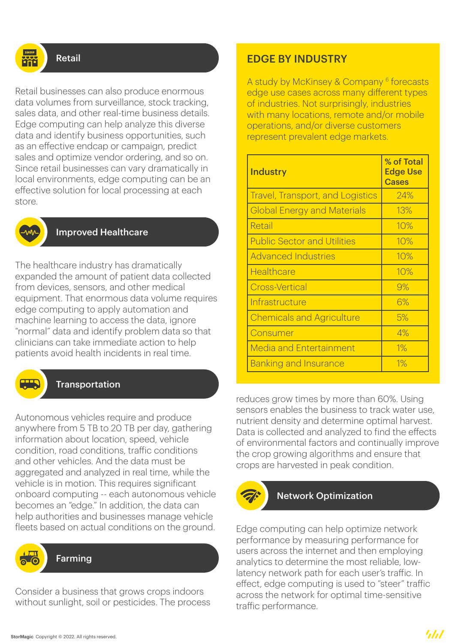

#### Retail

Retail businesses can also produce enormous data volumes from surveillance, stock tracking, sales data, and other real-time business details. Edge computing can help analyze this diverse data and identify business opportunities, such as an effective endcap or campaign, predict sales and optimize vendor ordering, and so on. Since retail businesses can vary dramatically in local environments, edge computing can be an effective solution for local processing at each store.



#### Improved Healthcare

The healthcare industry has dramatically expanded the amount of patient data collected from devices, sensors, and other medical equipment. That enormous data volume requires edge computing to apply automation and machine learning to access the data, ignore "normal" data and identify problem data so that clinicians can take immediate action to help patients avoid health incidents in real time.



#### Transportation

Autonomous vehicles require and produce anywhere from 5 TB to 20 TB per day, gathering information about location, speed, vehicle condition, road conditions, traffic conditions and other vehicles. And the data must be aggregated and analyzed in real time, while the vehicle is in motion. This requires significant onboard computing -- each autonomous vehicle becomes an "edge." In addition, the data can help authorities and businesses manage vehicle fleets based on actual conditions on the ground.



#### Farming

Consider a business that grows crops indoors without sunlight, soil or pesticides. The process

# EDGE BY INDUSTRY

A study by McKinsey & Company <sup>6</sup> forecasts edge use cases across many different types of industries. Not surprisingly, industries with many locations, remote and/or mobile operations, and/or diverse customers represent prevalent edge markets.

| <b>Industry</b>                         | % of Total<br><b>Edge Use</b><br><b>Cases</b> |
|-----------------------------------------|-----------------------------------------------|
| <b>Travel, Transport, and Logistics</b> | 24%                                           |
| <b>Global Energy and Materials</b>      | 13%                                           |
| Retail                                  | 10%                                           |
| <b>Public Sector and Utilities</b>      | 10%                                           |
| <b>Advanced Industries</b>              | 10%                                           |
| Healthcare                              | 10%                                           |
| <b>Cross-Vertical</b>                   | 9%                                            |
| Infrastructure                          | 6%                                            |
| <b>Chemicals and Agriculture</b>        | 5%                                            |
| Consumer                                | 4%                                            |
| <b>Media and Entertainment</b>          | $1\%$                                         |
| <b>Banking and Insurance</b>            | 1%                                            |

reduces grow times by more than 60%. Using sensors enables the business to track water use, nutrient density and determine optimal harvest. Data is collected and analyzed to find the effects of environmental factors and continually improve the crop growing algorithms and ensure that crops are harvested in peak condition.



#### Network Optimization

Edge computing can help optimize network performance by measuring performance for users across the internet and then employing analytics to determine the most reliable, lowlatency network path for each user's traffic. In effect, edge computing is used to "steer" traffic across the network for optimal time-sensitive traffic performance.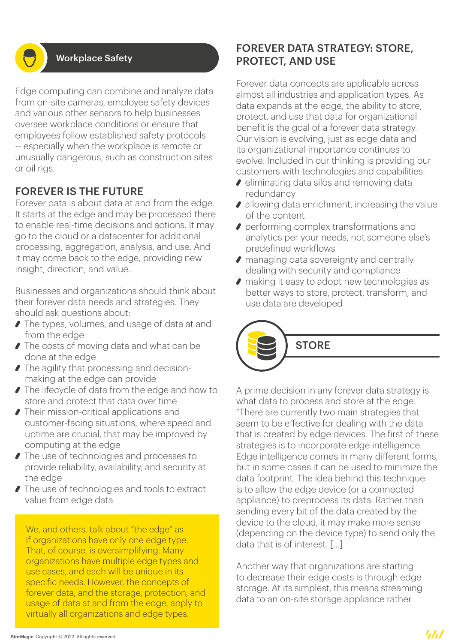#### Workplace Safety

Edge computing can combine and analyze data from on-site cameras, employee safety devices and various other sensors to help businesses oversee workplace conditions or ensure that employees follow established safety protocols -- especially when the workplace is remote or unusually dangerous, such as construction sites or oil rigs.

# FOREVER IS THE FUTURE

Forever data is about data at and from the edge. It starts at the edge and may be processed there to enable real-time decisions and actions. It may go to the cloud or a datacenter for additional processing, aggregation, analysis, and use. And it may come back to the edge, providing new insight, direction, and value.

Businesses and organizations should think about their forever data needs and strategies. They should ask questions about:

- The types, volumes, and usage of data at and from the edge
- The costs of moving data and what can be done at the edge
- The agility that processing and decisionmaking at the edge can provide
- The lifecycle of data from the edge and how to store and protect that data over time
- Their mission-critical applications and customer-facing situations, where speed and uptime are crucial, that may be improved by computing at the edge
- **∕ The use of technologies and processes to** provide reliability, availability, and security at the edge
- The use of technologies and tools to extract value from edge data

We, and others, talk about "the edge" as if organizations have only one edge type. That, of course, is oversimplifying. Many organizations have multiple edge types and use cases, and each will be unique in its specific needs. However, the concepts of forever data, and the storage, protection, and usage of data at and from the edge, apply to virtually all organizations and edge types.

# FOREVER DATA STRATEGY: STORE, PROTECT, AND USE

Forever data concepts are applicable across almost all industries and application types. As data expands at the edge, the ability to store, protect, and use that data for organizational benefit is the goal of a forever data strategy. Our vision is evolving, just as edge data and its organizational importance continues to evolve. Included in our thinking is providing our customers with technologies and capabilities:

- eliminating data silos and removing data redundancy
- allowing data enrichment, increasing the value of the content
- **performing complex transformations and** analytics per your needs, not someone else's predefined workflows
- managing data sovereignty and centrally dealing with security and compliance
- making it easy to adopt new technologies as better ways to store, protect, transform, and use data are developed

**STORF** 

A prime decision in any forever data strategy is what data to process and store at the edge. "There are currently two main strategies that seem to be effective for dealing with the data that is created by edge devices. The first of these strategies is to incorporate edge intelligence. Edge intelligence comes in many different forms, but in some cases it can be used to minimize the data footprint. The idea behind this technique is to allow the edge device (or a connected appliance) to preprocess its data. Rather than sending every bit of the data created by the device to the cloud, it may make more sense (depending on the device type) to send only the data that is of interest. [...]

Another way that organizations are starting to decrease their edge costs is through edge storage. At its simplest, this means streaming data to an on-site storage appliance rather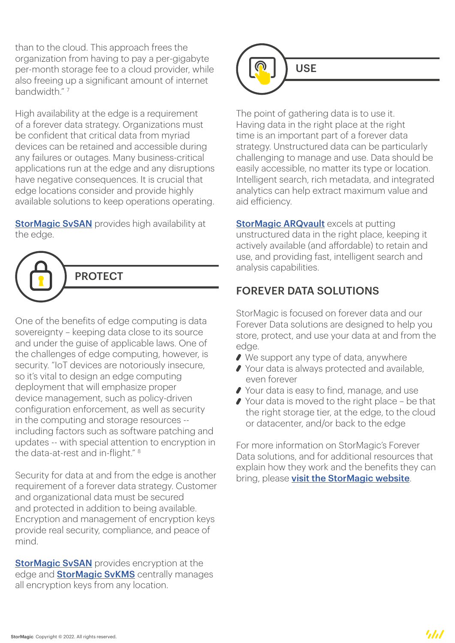than to the cloud. This approach frees the organization from having to pay a per-gigabyte per-month storage fee to a cloud provider, while also freeing up a significant amount of internet bandwidth." 7

High availability at the edge is a requirement of a forever data strategy. Organizations must be confident that critical data from myriad devices can be retained and accessible during any failures or outages. Many business-critical applications run at the edge and any disruptions have negative consequences. It is crucial that edge locations consider and provide highly available solutions to keep operations operating.

**[StorMagic SvSAN](https://stormagic.com/svsan/?utm_source=pdf&utm_medium=overview&utm_campaign=Forever+Data+Overview&utm_content=StorMagic+SvSAN)** provides high availability at the edge.



One of the benefits of edge computing is data sovereignty – keeping data close to its source and under the guise of applicable laws. One of the challenges of edge computing, however, is security. "IoT devices are notoriously insecure, so it's vital to design an edge computing deployment that will emphasize proper device management, such as policy-driven configuration enforcement, as well as security in the computing and storage resources - including factors such as software patching and updates -- with special attention to encryption in the data-at-rest and in-flight." 8

Security for data at and from the edge is another requirement of a forever data strategy. Customer and organizational data must be secured and protected in addition to being available. Encryption and management of encryption keys provide real security, compliance, and peace of mind.

**[StorMagic SvSAN](https://stormagic.com/svsan/?utm_source=pdf&utm_medium=overview&utm_campaign=Forever+Data+Overview&utm_content=StorMagic+SvSAN)** provides encryption at the edge and **[StorMagic SvKMS](https://stormagic.com/encryption-key-management/?utm_source=pdf&utm_medium=overview&utm_campaign=Forever+Data+Overview&utm_content=StorMagic+SvKMS)** centrally manages all encryption keys from any location.



The point of gathering data is to use it. Having data in the right place at the right time is an important part of a forever data strategy. Unstructured data can be particularly challenging to manage and use. Data should be easily accessible, no matter its type or location. Intelligent search, rich metadata, and integrated analytics can help extract maximum value and aid efficiency.

**[StorMagic ARQvault](https://stormagic.com/arqvault/?utm_source=pdf&utm_medium=overview&utm_campaign=Forever+Data+Overview&utm_content=StorMagic+ARQvault)** excels at putting unstructured data in the right place, keeping it actively available (and affordable) to retain and use, and providing fast, intelligent search and analysis capabilities.

# FOREVER DATA SOLUTIONS

StorMagic is focused on forever data and our Forever Data solutions are designed to help you store, protect, and use your data at and from the edge.

- ◆ We support any type of data, anywhere
- ◆ Your data is always protected and available, even forever
- ◆ Your data is easy to find, manage, and use
- ◆ Your data is moved to the right place be that the right storage tier, at the edge, to the cloud or datacenter, and/or back to the edge

For more information on StorMagic's Forever Data solutions, and for additional resources that explain how they work and the benefits they can bring, please [visit the StorMagic website](https://stormagic.com/licensing/products/?utm_source=pdf&utm_medium=overview&utm_campaign=Forever+Data+Overview&utm_content=visit+the+StorMagic+website).